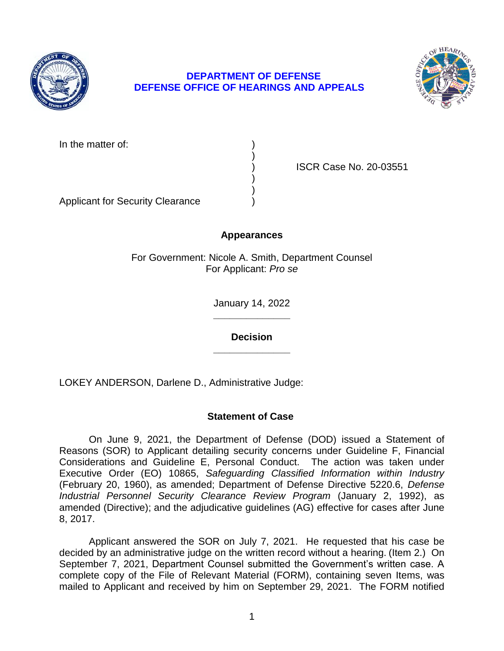

# **DEPARTMENT OF DEFENSE DEFENSE OFFICE OF HEARINGS AND APPEALS**



In the matter of:

) ISCR Case No. 20-03551

Applicant for Security Clearance )

# **Appearances**

)

) )

For Government: Nicole A. Smith, Department Counsel For Applicant: *Pro se* 

> **\_\_\_\_\_\_\_\_\_\_\_\_\_\_**  January 14, 2022

**\_\_\_\_\_\_\_\_\_\_\_\_\_\_ Decision** 

LOKEY ANDERSON, Darlene D., Administrative Judge:

# **Statement of Case**

 On June 9, 2021, the Department of Defense (DOD) issued a Statement of Reasons (SOR) to Applicant detailing security concerns under Guideline F, Financial Considerations and Guideline E, Personal Conduct. The action was taken under  Executive Order (EO) 10865, *Safeguarding Classified Information within Industry*  (February 20, 1960), as amended; Department of Defense Directive 5220.6, *Defense Industrial Personnel Security Clearance Review Program* (January 2, 1992), as amended (Directive); and the adjudicative guidelines (AG) effective for cases after June 8, 2017.

 Applicant answered the SOR on July 7, 2021. He requested that his case be decided by an administrative judge on the written record without a hearing. (Item 2.) On September 7, 2021, Department Counsel submitted the Government's written case. A complete copy of the File of Relevant Material (FORM), containing seven Items, was mailed to Applicant and received by him on September 29, 2021. The FORM notified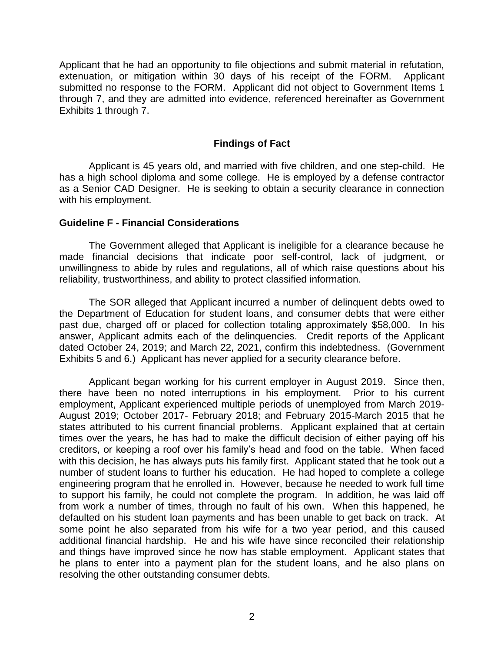Applicant that he had an opportunity to file objections and submit material in refutation, extenuation, or mitigation within 30 days of his receipt of the FORM. Applicant submitted no response to the FORM. Applicant did not object to Government Items 1 through 7, and they are admitted into evidence, referenced hereinafter as Government Exhibits 1 through 7.

#### **Findings of Fact**

 Applicant is 45 years old, and married with five children, and one step-child. He has a high school diploma and some college. He is employed by a defense contractor as a Senior CAD Designer. He is seeking to obtain a security clearance in connection with his employment.

#### **Guideline F - Financial Considerations**

 The Government alleged that Applicant is ineligible for a clearance because he made financial decisions that indicate poor self-control, lack of judgment, or unwillingness to abide by rules and regulations, all of which raise questions about his reliability, trustworthiness, and ability to protect classified information.

 The SOR alleged that Applicant incurred a number of delinquent debts owed to the Department of Education for student loans, and consumer debts that were either past due, charged off or placed for collection totaling approximately \$58,000. In his answer, Applicant admits each of the delinquencies. Credit reports of the Applicant dated October 24, 2019; and March 22, 2021, confirm this indebtedness. (Government Exhibits 5 and 6.) Applicant has never applied for a security clearance before.

Applicant began working for his current employer in August 2019. Since then, there have been no noted interruptions in his employment. Prior to his current employment, Applicant experienced multiple periods of unemployed from March 2019- August 2019; October 2017- February 2018; and February 2015-March 2015 that he states attributed to his current financial problems. Applicant explained that at certain times over the years, he has had to make the difficult decision of either paying off his creditors, or keeping a roof over his family's head and food on the table. When faced with this decision, he has always puts his family first. Applicant stated that he took out a number of student loans to further his education. He had hoped to complete a college engineering program that he enrolled in. However, because he needed to work full time to support his family, he could not complete the program. In addition, he was laid off from work a number of times, through no fault of his own. When this happened, he defaulted on his student loan payments and has been unable to get back on track. At some point he also separated from his wife for a two year period, and this caused additional financial hardship. He and his wife have since reconciled their relationship and things have improved since he now has stable employment. Applicant states that he plans to enter into a payment plan for the student loans, and he also plans on resolving the other outstanding consumer debts.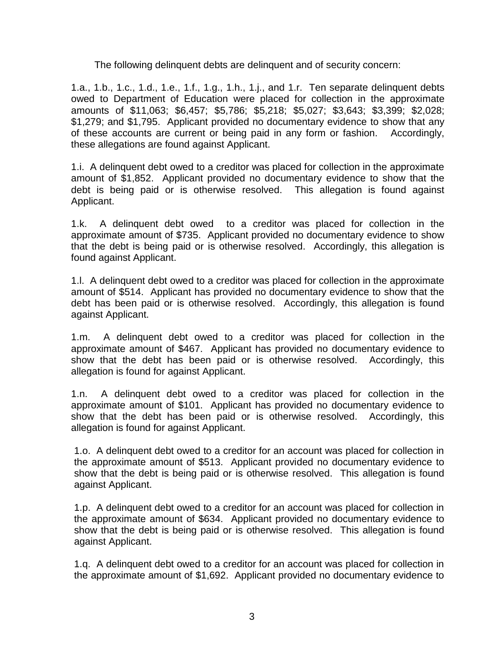The following delinquent debts are delinquent and of security concern:

 1.a., 1.b., 1.c., 1.d., 1.e., 1.f., 1.g., 1.h., 1.j., and 1.r. Ten separate delinquent debts owed to Department of Education were placed for collection in the approximate \$1,279; and \$1,795. Applicant provided no documentary evidence to show that any of these accounts are current or being paid in any form or fashion. Accordingly, amounts of \$11,063; \$6,457; \$5,786; \$5,218; \$5,027; \$3,643; \$3,399; \$2,028; these allegations are found against Applicant.

 1.i. A delinquent debt owed to a creditor was placed for collection in the approximate amount of \$1,852. Applicant provided no documentary evidence to show that the debt is being paid or is otherwise resolved. This allegation is found against Applicant.

Applicant.<br>1.k. A delinquent debt owed to a creditor was placed for collection in the approximate amount of \$735. Applicant provided no documentary evidence to show that the debt is being paid or is otherwise resolved. Accordingly, this allegation is found against Applicant.

found against Applicant.<br>1.l. A delinquent debt owed to a creditor was placed for collection in the approximate amount of \$514. Applicant has provided no documentary evidence to show that the debt has been paid or is otherwise resolved. Accordingly, this allegation is found against Applicant.

 1.m. A delinquent debt owed to a creditor was placed for collection in the approximate amount of \$467. Applicant has provided no documentary evidence to show that the debt has been paid or is otherwise resolved. Accordingly, this allegation is found for against Applicant.

 approximate amount of \$101. Applicant has provided no documentary evidence to show that the debt has been paid or is otherwise resolved. Accordingly, this 1.n. A delinquent debt owed to a creditor was placed for collection in the allegation is found for against Applicant.

 1.o. A delinquent debt owed to a creditor for an account was placed for collection in the approximate amount of \$513. Applicant provided no documentary evidence to show that the debt is being paid or is otherwise resolved. This allegation is found against Applicant.

 1.p. A delinquent debt owed to a creditor for an account was placed for collection in the approximate amount of \$634. Applicant provided no documentary evidence to show that the debt is being paid or is otherwise resolved. This allegation is found against Applicant.

 1.q. A delinquent debt owed to a creditor for an account was placed for collection in the approximate amount of \$1,692. Applicant provided no documentary evidence to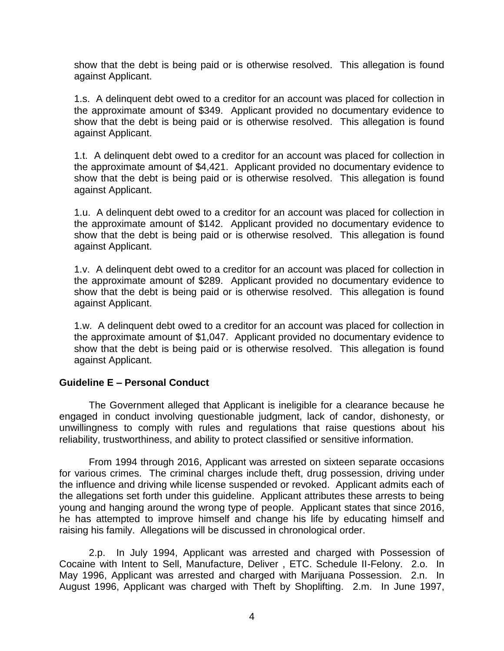show that the debt is being paid or is otherwise resolved. This allegation is found against Applicant.

 1.s. A delinquent debt owed to a creditor for an account was placed for collection in the approximate amount of \$349. Applicant provided no documentary evidence to show that the debt is being paid or is otherwise resolved. This allegation is found against Applicant.

 1.t. A delinquent debt owed to a creditor for an account was placed for collection in the approximate amount of \$4,421. Applicant provided no documentary evidence to show that the debt is being paid or is otherwise resolved. This allegation is found against Applicant.

 1.u. A delinquent debt owed to a creditor for an account was placed for collection in the approximate amount of \$142. Applicant provided no documentary evidence to show that the debt is being paid or is otherwise resolved. This allegation is found against Applicant.

 1.v. A delinquent debt owed to a creditor for an account was placed for collection in the approximate amount of \$289. Applicant provided no documentary evidence to show that the debt is being paid or is otherwise resolved. This allegation is found against Applicant.

 1.w. A delinquent debt owed to a creditor for an account was placed for collection in the approximate amount of \$1,047. Applicant provided no documentary evidence to show that the debt is being paid or is otherwise resolved. This allegation is found against Applicant.

### **Guideline E – Personal Conduct**

 The Government alleged that Applicant is ineligible for a clearance because he engaged in conduct involving questionable judgment, lack of candor, dishonesty, or unwillingness to comply with rules and regulations that raise questions about his reliability, trustworthiness, and ability to protect classified or sensitive information.

 From 1994 through 2016, Applicant was arrested on sixteen separate occasions for various crimes. The criminal charges include theft, drug possession, driving under the influence and driving while license suspended or revoked. Applicant admits each of the allegations set forth under this guideline. Applicant attributes these arrests to being young and hanging around the wrong type of people. Applicant states that since 2016, he has attempted to improve himself and change his life by educating himself and raising his family. Allegations will be discussed in chronological order.

2.p. In July 1994, Applicant was arrested and charged with Possession of Cocaine with Intent to Sell, Manufacture, Deliver , ETC. Schedule II-Felony. 2.o. In May 1996, Applicant was arrested and charged with Marijuana Possession. 2.n. In August 1996, Applicant was charged with Theft by Shoplifting. 2.m. In June 1997,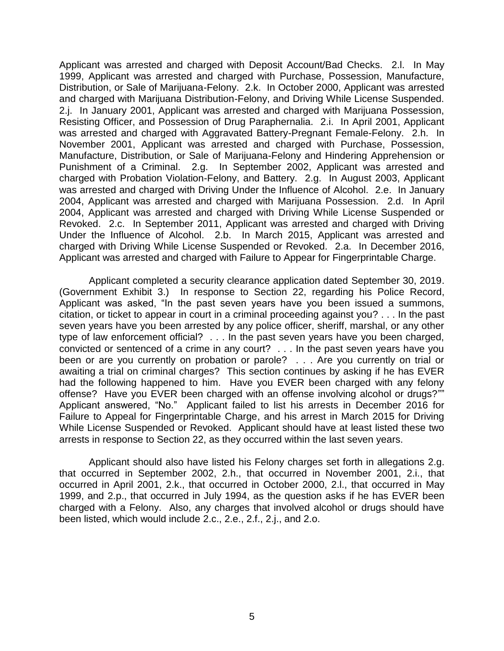Applicant was arrested and charged with Deposit Account/Bad Checks. 2.l. In May 1999, Applicant was arrested and charged with Purchase, Possession, Manufacture, Distribution, or Sale of Marijuana-Felony. 2.k. In October 2000, Applicant was arrested and charged with Marijuana Distribution-Felony, and Driving While License Suspended. 2.j. In January 2001, Applicant was arrested and charged with Marijuana Possession, Resisting Officer, and Possession of Drug Paraphernalia. 2.i. In April 2001, Applicant was arrested and charged with Aggravated Battery-Pregnant Female-Felony. 2.h. In November 2001, Applicant was arrested and charged with Purchase, Possession, Manufacture, Distribution, or Sale of Marijuana-Felony and Hindering Apprehension or Punishment of a Criminal. 2.g. In September 2002, Applicant was arrested and charged with Probation Violation-Felony, and Battery. 2.g. In August 2003, Applicant was arrested and charged with Driving Under the Influence of Alcohol. 2.e. In January 2004, Applicant was arrested and charged with Marijuana Possession. 2.d. In April 2004, Applicant was arrested and charged with Driving While License Suspended or Revoked. 2.c. In September 2011, Applicant was arrested and charged with Driving Under the Influence of Alcohol. 2.b. In March 2015, Applicant was arrested and charged with Driving While License Suspended or Revoked. 2.a. In December 2016, Applicant was arrested and charged with Failure to Appear for Fingerprintable Charge.

 Applicant completed a security clearance application dated September 30, 2019. (Government Exhibit 3.) In response to Section 22, regarding his Police Record, Applicant was asked, "In the past seven years have you been issued a summons, citation, or ticket to appear in court in a criminal proceeding against you? . . . In the past seven years have you been arrested by any police officer, sheriff, marshal, or any other type of law enforcement official? . . . In the past seven years have you been charged, convicted or sentenced of a crime in any court? . . . In the past seven years have you been or are you currently on probation or parole? . . . Are you currently on trial or awaiting a trial on criminal charges? This section continues by asking if he has EVER had the following happened to him. Have you EVER been charged with any felony offense? Have you EVER been charged with an offense involving alcohol or drugs?"" Applicant answered, "No." Applicant failed to list his arrests in December 2016 for Failure to Appeal for Fingerprintable Charge, and his arrest in March 2015 for Driving While License Suspended or Revoked. Applicant should have at least listed these two arrests in response to Section 22, as they occurred within the last seven years.

 Applicant should also have listed his Felony charges set forth in allegations 2.g. that occurred in September 2002, 2.h., that occurred in November 2001, 2.i., that occurred in April 2001, 2.k., that occurred in October 2000, 2.l., that occurred in May 1999, and 2.p., that occurred in July 1994, as the question asks if he has EVER been charged with a Felony. Also, any charges that involved alcohol or drugs should have been listed, which would include 2.c., 2.e., 2.f., 2.j., and 2.o.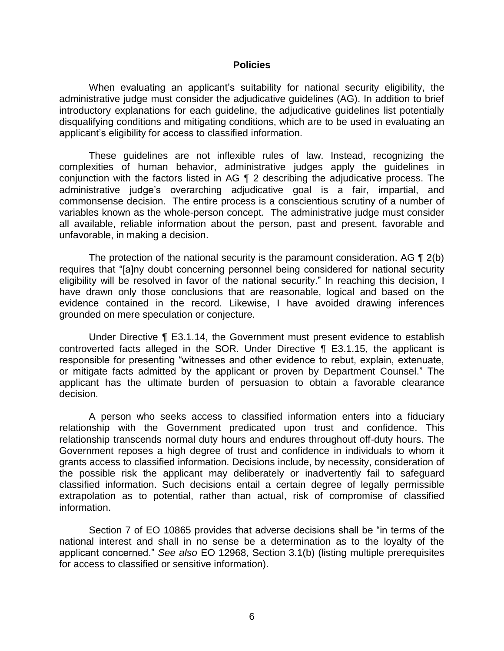#### **Policies**

 When evaluating an applicant's suitability for national security eligibility, the administrative judge must consider the adjudicative guidelines (AG). In addition to brief introductory explanations for each guideline, the adjudicative guidelines list potentially disqualifying conditions and mitigating conditions, which are to be used in evaluating an applicant's eligibility for access to classified information.

 These guidelines are not inflexible rules of law. Instead, recognizing the complexities of human behavior, administrative judges apply the guidelines in conjunction with the factors listed in AG ¶ 2 describing the adjudicative process. The commonsense decision. The entire process is a conscientious scrutiny of a number of variables known as the whole-person concept. The administrative judge must consider all available, reliable information about the person, past and present, favorable and administrative judge's overarching adjudicative goal is a fair, impartial, and unfavorable, in making a decision.

The protection of the national security is the paramount consideration. AG  $\P$  2(b) eligibility will be resolved in favor of the national security." In reaching this decision, I have drawn only those conclusions that are reasonable, logical and based on the evidence contained in the record. Likewise, I have avoided drawing inferences requires that "[a]ny doubt concerning personnel being considered for national security grounded on mere speculation or conjecture.

 Under Directive ¶ E3.1.14, the Government must present evidence to establish controverted facts alleged in the SOR. Under Directive ¶ E3.1.15, the applicant is responsible for presenting "witnesses and other evidence to rebut, explain, extenuate, or mitigate facts admitted by the applicant or proven by Department Counsel." The applicant has the ultimate burden of persuasion to obtain a favorable clearance decision.

 A person who seeks access to classified information enters into a fiduciary relationship with the Government predicated upon trust and confidence. This relationship transcends normal duty hours and endures throughout off-duty hours. The Government reposes a high degree of trust and confidence in individuals to whom it grants access to classified information. Decisions include, by necessity, consideration of the possible risk the applicant may deliberately or inadvertently fail to safeguard classified information. Such decisions entail a certain degree of legally permissible extrapolation as to potential, rather than actual, risk of compromise of classified information.

 Section 7 of EO 10865 provides that adverse decisions shall be "in terms of the national interest and shall in no sense be a determination as to the loyalty of the applicant concerned." *See also* EO 12968, Section 3.1(b) (listing multiple prerequisites for access to classified or sensitive information).<br> $6$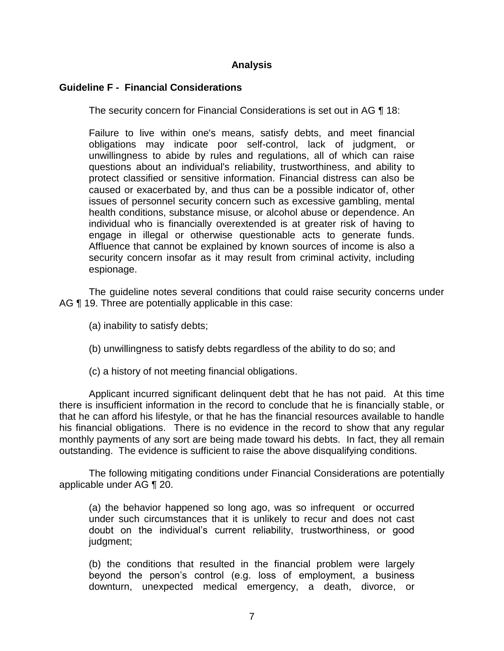## **Analysis**

## **Guideline F - Financial Considerations**

The security concern for Financial Considerations is set out in AG ¶ 18:

 Failure to live within one's means, satisfy debts, and meet financial obligations may indicate poor self-control, lack of judgment, or unwillingness to abide by rules and regulations, all of which can raise protect classified or sensitive information. Financial distress can also be caused or exacerbated by, and thus can be a possible indicator of, other issues of personnel security concern such as excessive gambling, mental individual who is financially overextended is at greater risk of having to engage in illegal or otherwise questionable acts to generate funds. Affluence that cannot be explained by known sources of income is also a questions about an individual's reliability, trustworthiness, and ability to health conditions, substance misuse, or alcohol abuse or dependence. An security concern insofar as it may result from criminal activity, including espionage.

 The guideline notes several conditions that could raise security concerns under AG ¶ 19. Three are potentially applicable in this case:

- (a) inability to satisfy debts;
- (b) unwillingness to satisfy debts regardless of the ability to do so; and
- (c) a history of not meeting financial obligations.

 Applicant incurred significant delinquent debt that he has not paid. At this time there is insufficient information in the record to conclude that he is financially stable, or that he can afford his lifestyle, or that he has the financial resources available to handle his financial obligations. There is no evidence in the record to show that any regular monthly payments of any sort are being made toward his debts. In fact, they all remain outstanding. The evidence is sufficient to raise the above disqualifying conditions.

 The following mitigating conditions under Financial Considerations are potentially applicable under AG ¶ 20.

 (a) the behavior happened so long ago, was so infrequent or occurred under such circumstances that it is unlikely to recur and does not cast doubt on the individual's current reliability, trustworthiness, or good judgment;

(b) the conditions that resulted in the financial problem were largely beyond the person's control (e.g. loss of employment, a business downturn, unexpected medical emergency, a death, divorce, or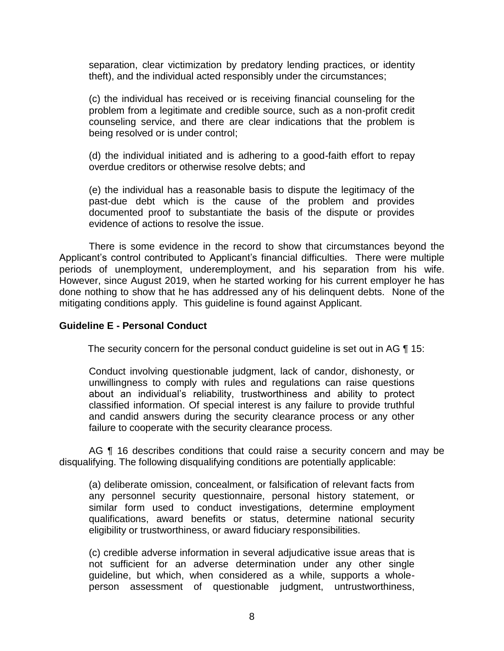separation, clear victimization by predatory lending practices, or identity theft), and the individual acted responsibly under the circumstances;

(c) the individual has received or is receiving financial counseling for the problem from a legitimate and credible source, such as a non-profit credit counseling service, and there are clear indications that the problem is being resolved or is under control;

(d) the individual initiated and is adhering to a good-faith effort to repay overdue creditors or otherwise resolve debts; and

 (e) the individual has a reasonable basis to dispute the legitimacy of the past-due debt which is the cause of the problem and provides documented proof to substantiate the basis of the dispute or provides evidence of actions to resolve the issue.

 There is some evidence in the record to show that circumstances beyond the Applicant's control contributed to Applicant's financial difficulties. There were multiple periods of unemployment, underemployment, and his separation from his wife. However, since August 2019, when he started working for his current employer he has done nothing to show that he has addressed any of his delinquent debts. None of the mitigating conditions apply. This guideline is found against Applicant.

#### **Guideline E - Personal Conduct**

The security concern for the personal conduct guideline is set out in AG 15:

Conduct involving questionable judgment, lack of candor, dishonesty, or unwillingness to comply with rules and regulations can raise questions about an individual's reliability, trustworthiness and ability to protect classified information. Of special interest is any failure to provide truthful and candid answers during the security clearance process or any other failure to cooperate with the security clearance process.

AG ¶ 16 describes conditions that could raise a security concern and may be disqualifying. The following disqualifying conditions are potentially applicable:

(a) deliberate omission, concealment, or falsification of relevant facts from any personnel security questionnaire, personal history statement, or similar form used to conduct investigations, determine employment qualifications, award benefits or status, determine national security eligibility or trustworthiness, or award fiduciary responsibilities.

 (c) credible adverse information in several adjudicative issue areas that is guideline, but which, when considered as a while, supports a whole- person assessment of questionable judgment, untrustworthiness, not sufficient for an adverse determination under any other single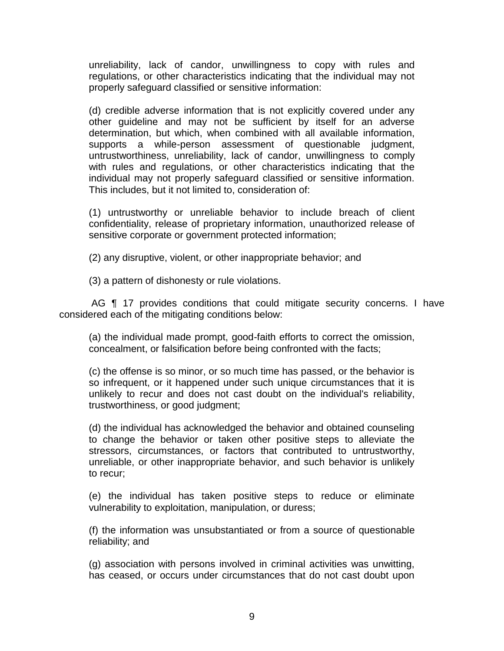unreliability, lack of candor, unwillingness to copy with rules and regulations, or other characteristics indicating that the individual may not properly safeguard classified or sensitive information:

(d) credible adverse information that is not explicitly covered under any other guideline and may not be sufficient by itself for an adverse determination, but which, when combined with all available information, supports a while-person assessment of questionable judgment, untrustworthiness, unreliability, lack of candor, unwillingness to comply with rules and regulations, or other characteristics indicating that the individual may not properly safeguard classified or sensitive information. This includes, but it not limited to, consideration of:

(1) untrustworthy or unreliable behavior to include breach of client confidentiality, release of proprietary information, unauthorized release of sensitive corporate or government protected information;

(2) any disruptive, violent, or other inappropriate behavior; and

(3) a pattern of dishonesty or rule violations.

AG **[1** 17 provides conditions that could mitigate security concerns. I have considered each of the mitigating conditions below:

 (a) the individual made prompt, good-faith efforts to correct the omission, concealment, or falsification before being confronted with the facts;

 (c) the offense is so minor, or so much time has passed, or the behavior is so infrequent, or it happened under such unique circumstances that it is unlikely to recur and does not cast doubt on the individual's reliability, trustworthiness, or good judgment;

 (d) the individual has acknowledged the behavior and obtained counseling to change the behavior or taken other positive steps to alleviate the stressors, circumstances, or factors that contributed to untrustworthy, unreliable, or other inappropriate behavior, and such behavior is unlikely to recur;

 (e) the individual has taken positive steps to reduce or eliminate vulnerability to exploitation, manipulation, or duress;

 (f) the information was unsubstantiated or from a source of questionable reliability; and

 (g) association with persons involved in criminal activities was unwitting, has ceased, or occurs under circumstances that do not cast doubt upon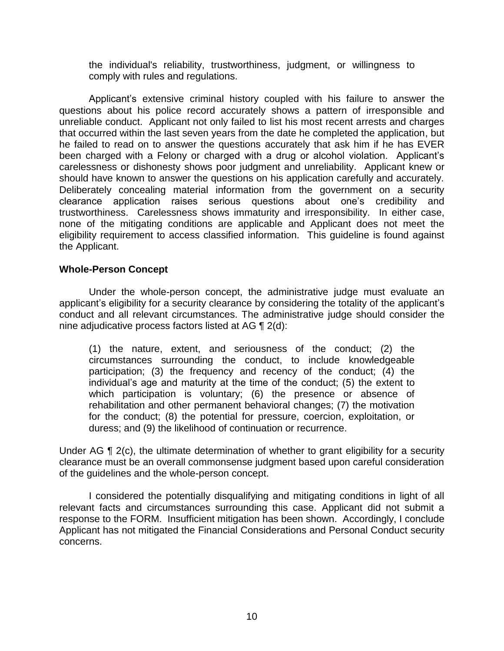the individual's reliability, trustworthiness, judgment, or willingness to comply with rules and regulations.

 Applicant's extensive criminal history coupled with his failure to answer the questions about his police record accurately shows a pattern of irresponsible and unreliable conduct. Applicant not only failed to list his most recent arrests and charges he failed to read on to answer the questions accurately that ask him if he has EVER been charged with a Felony or charged with a drug or alcohol violation. Applicant's carelessness or dishonesty shows poor judgment and unreliability. Applicant knew or should have known to answer the questions on his application carefully and accurately. Deliberately concealing material information from the government on a security clearance application raises serious questions about one's credibility and trustworthiness. Carelessness shows immaturity and irresponsibility. In either case, none of the mitigating conditions are applicable and Applicant does not meet the eligibility requirement to access classified information. This guideline is found against the Applicant. that occurred within the last seven years from the date he completed the application, but

### **Whole-Person Concept**

 Under the whole-person concept, the administrative judge must evaluate an applicant's eligibility for a security clearance by considering the totality of the applicant's conduct and all relevant circumstances. The administrative judge should consider the nine adjudicative process factors listed at AG ¶ 2(d):

(1) the nature, extent, and seriousness of the conduct; (2) the circumstances surrounding the conduct, to include knowledgeable participation; (3) the frequency and recency of the conduct; (4) the individual's age and maturity at the time of the conduct; (5) the extent to which participation is voluntary; (6) the presence or absence of rehabilitation and other permanent behavioral changes; (7) the motivation for the conduct; (8) the potential for pressure, coercion, exploitation, or duress; and (9) the likelihood of continuation or recurrence.

Under AG ¶ 2(c), the ultimate determination of whether to grant eligibility for a security clearance must be an overall commonsense judgment based upon careful consideration of the guidelines and the whole-person concept.

 I considered the potentially disqualifying and mitigating conditions in light of all relevant facts and circumstances surrounding this case. Applicant did not submit a response to the FORM. Insufficient mitigation has been shown. Accordingly, I conclude Applicant has not mitigated the Financial Considerations and Personal Conduct security concerns.